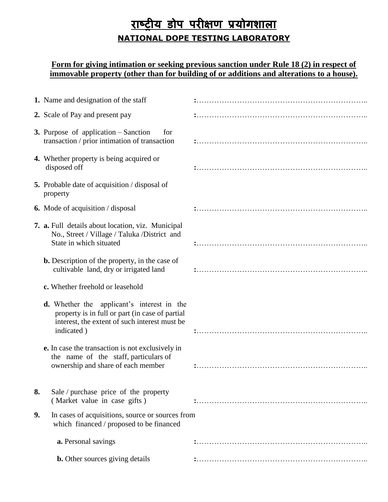## **राष्ट्रीय डोप परीक्षण प्रयोगशाऱा NATIONAL DOPE TESTING LABORATORY**

## **Form for giving intimation or seeking previous sanction under Rule 18 (2) in respect of immovable property (other than for building of or additions and alterations to a house).**

|    | 1. Name and designation of the staff                                                                                                                                |  |
|----|---------------------------------------------------------------------------------------------------------------------------------------------------------------------|--|
|    | 2. Scale of Pay and present pay                                                                                                                                     |  |
|    | <b>3.</b> Purpose of application – Sanction<br>for<br>transaction / prior intimation of transaction                                                                 |  |
|    | 4. Whether property is being acquired or<br>disposed off                                                                                                            |  |
|    | <b>5.</b> Probable date of acquisition / disposal of<br>property                                                                                                    |  |
|    | <b>6.</b> Mode of acquisition / disposal                                                                                                                            |  |
|    | 7. a. Full details about location, viz. Municipal<br>No., Street / Village / Taluka / District and<br>State in which situated                                       |  |
|    | <b>b.</b> Description of the property, in the case of<br>cultivable land, dry or irrigated land                                                                     |  |
|    | c. Whether freehold or leasehold                                                                                                                                    |  |
|    | <b>d.</b> Whether the applicant's interest in the<br>property is in full or part (in case of partial<br>interest, the extent of such interest must be<br>indicated) |  |
|    | e. In case the transaction is not exclusively in<br>the name of the staff, particulars of<br>ownership and share of each member                                     |  |
| 8. | Sale / purchase price of the property<br>(Market value in case gifts)                                                                                               |  |
| 9. | In cases of acquisitions, source or sources from<br>which financed / proposed to be financed                                                                        |  |
|    | a. Personal savings                                                                                                                                                 |  |
|    | <b>b.</b> Other sources giving details                                                                                                                              |  |